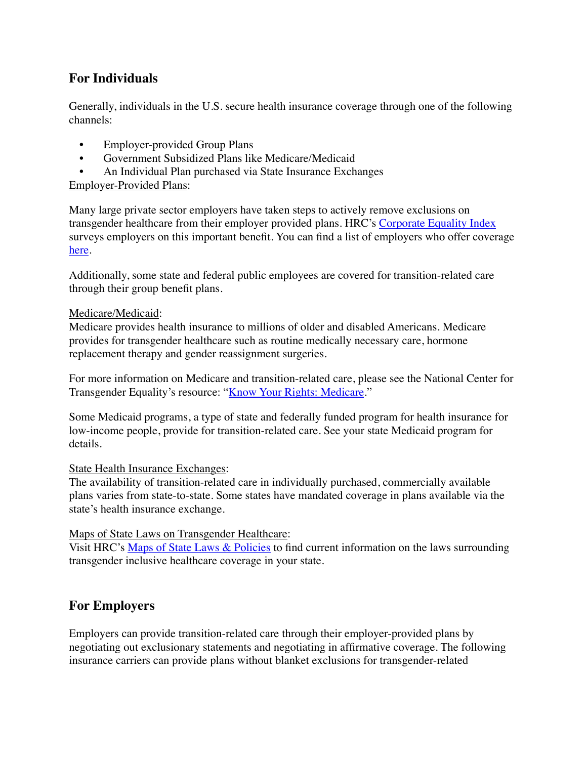# **For Individuals**

Generally, individuals in the U.S. secure health insurance coverage through one of the following channels:

- Employer-provided Group Plans
- Government Subsidized Plans like Medicare/Medicaid
- An Individual Plan purchased via State Insurance Exchanges

# Employer-Provided Plans:

Many large private sector employers have taken steps to actively remove exclusions on transgender healthcare from their employer provided plans. HRC's [Corporate Equality Index](http://www.hrc.org/cei) surveys employers on this important benefit. You can find a list of employers who offer coverage [here.](http://www.hrc.org/resources/entry/corporate-equality-index-list-of-businesses-with-transgender-inclusive-heal) 

Additionally, some state and federal public employees are covered for transition-related care through their group benefit plans.

# Medicare/Medicaid:

Medicare provides health insurance to millions of older and disabled Americans. Medicare provides for transgender healthcare such as routine medically necessary care, hormone replacement therapy and gender reassignment surgeries.

For more information on Medicare and transition-related care, please see the National Center for Transgender Equality's resource: "[Know Your Rights: Medicare.](http://transequality.org/know-your-rights/medicare)"

Some Medicaid programs, a type of state and federally funded program for health insurance for low-income people, provide for transition-related care. See your state Medicaid program for details.

# State Health Insurance Exchanges:

The availability of transition-related care in individually purchased, commercially available plans varies from state-to-state. Some states have mandated coverage in plans available via the state's health insurance exchange.

# Maps of State Laws on Transgender Healthcare:

Visit HRC's [Maps of State Laws & Policies](http://www.hrc.org/state_maps) to find current information on the laws surrounding transgender inclusive healthcare coverage in your state.

# **For Employers**

Employers can provide transition-related care through their employer-provided plans by negotiating out exclusionary statements and negotiating in affirmative coverage. The following insurance carriers can provide plans without blanket exclusions for transgender-related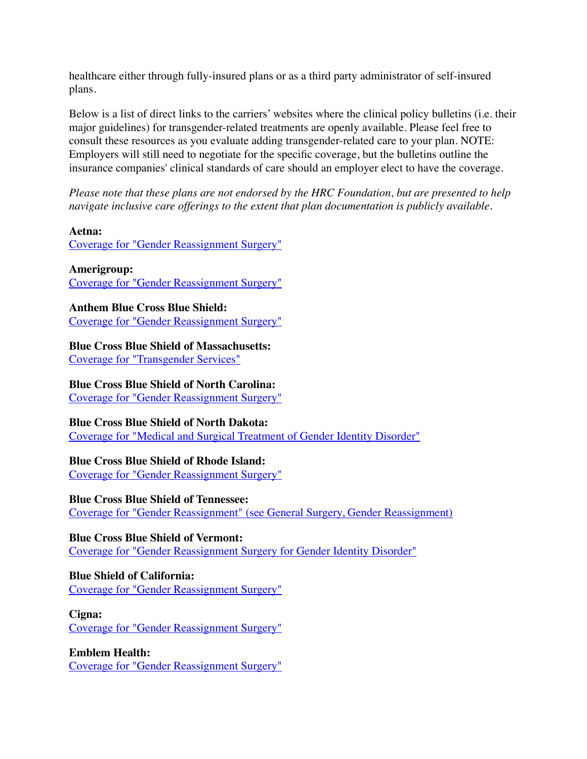healthcare either through fully-insured plans or as a third party administrator of self-insured plans.

Below is a list of direct links to the carriers' websites where the clinical policy bulletins (i.e. their major guidelines) for transgender-related treatments are openly available. Please feel free to consult these resources as you evaluate adding transgender-related care to your plan. NOTE: Employers will still need to negotiate for the specific coverage, but the bulletins outline the insurance companies' clinical standards of care should an employer elect to have the coverage.

*Please note that these plans are not endorsed by the HRC Foundation, but are presented to help navigate inclusive care offerings to the extent that plan documentation is publicly available.*

#### **Aetna:**

[Coverage for "Gender Reassignment Surgery"](http://www.aetna.com/cpb/medical/data/600_699/0615.html)

#### **Amerigroup:**

[Coverage for "Gender Reassignment Surgery"](https://medicalpolicies.amerigroup.com/medicalpolicies/guidelines/gl_pw_a051166.htm)

# **Anthem Blue Cross Blue Shield:**

[Coverage for "Gender Reassignment Surgery"](http://www.anthem.com/ca/medicalpolicies/guidelines/gl_pw_a051166.htm)

#### **Blue Cross Blue Shield of Massachusetts:**

[Coverage for "Transgender Services"](http://www.bluecrossma.com/common/en_US/medical_policies/189%20Transgender%20Services%20prn.pdf#page=1&__utma=149406063.1761118586.1402926656.1407417514.1407421027.129&__utmb=149406063.1.10.1407421027&__utmc=149406063&__utmx=-&__utmz=149406063.1407342625.125.16.utmcsr=americansformarriageequality.org%7Cutmccn=%28referral%29%7Cutmcmd=referral%7Cutmcct=/&__utmv=-&__utmk=260421901)

### **Blue Cross Blue Shield of North Carolina:**

[Coverage for "Gender Reassignment Surgery"](https://www.bcbsnc.com/assets/services/public/pdfs/medicalpolicy/gender_reassignment_surgery.pdf)

#### **Blue Cross Blue Shield of North Dakota:**

[Coverage for "Medical and Surgical Treatment of Gender Identity Disorder"](https://bb.thor.org/Bulletins/Blue_Cross_Blue_Shield_ND_Medical_Policy/Gender_Reassignment_.htm)

# **Blue Cross Blue Shield of Rhode Island:**

[Coverage for "Gender Reassignment Surgery"](https://www.bcbsri.com/sites/default/files/polices/Gender_Reassignment_Surgery.pdf)

#### **Blue Cross Blue Shield of Tennessee:**

[Coverage for "Gender Reassignment" \(see General Surgery, Gender Reassignment\)](http://www.bcbst.com/mpmanual/!SSL!/WebHelp/mpmprov.htm)

# **Blue Cross Blue Shield of Vermont:**

[Coverage for "Gender Reassignment Surgery for Gender Identity Disorder"](http://www.bcbsvt.com/wps/wcm/connect/ff21090c-2d6a-41f5-91d6-164b7aa6f81b/med-policy-gender-reasignment-surgery-uvm-2013.pdf?MOD=AJPERES)

# **Blue Shield of California:**

[Coverage for "Gender Reassignment Surgery"](https://www.blueshieldca.com/provider/content_assets/documents/download/public/bscpolicy/Gender_RA_Surg.pdf)

#### **Cigna:**

[Coverage for "Gender Reassignment Surgery"](https://cignaforhcp.cigna.com/public/content/pdf/coveragePolicies/medical/mm_0266_coveragepositioncriteria_gender_reassignment_surgery.pdf#__utma=149406063.1761118586.1402926656.1407417514.1407421027.129&__utmb=149406063.1.10.1407421027&__utmc=149406063&__utmx=-&__utmz=149406063.1407342625.125.16.utmcsr=americansformarriageequality.org%7Cutmccn=%28referral%29%7Cutmcmd=referral%7Cutmcct=/&__utmv=-&__utmk=260421901)

#### **Emblem Health:**

[Coverage for "Gender Reassignment Surgery"](http://www.emblemhealth.com/~/media/Files/PDF/_med_guidelines/MG_Gender_Reassignment_Surgery_C.pdf#__utma=149406063.1761118586.1402926656.1407417514.1407421027.129&__utmb=149406063.1.10.1407421027&__utmc=149406063&__utmx=-&__utmz=149406063.1407342625.125.16.utmcsr=americansformarriageequality.org%7Cutmccn=%28referral%29%7Cutmcmd=referral%7Cutmcct=/&__utmv=-&__utmk=260421901)